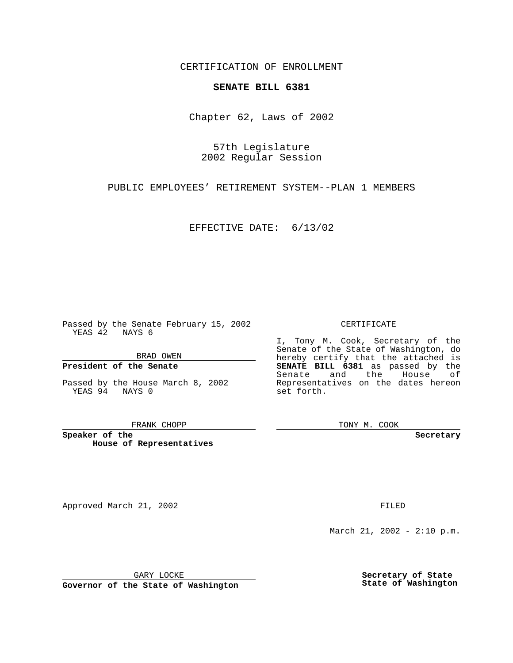CERTIFICATION OF ENROLLMENT

## **SENATE BILL 6381**

Chapter 62, Laws of 2002

57th Legislature 2002 Regular Session

PUBLIC EMPLOYEES' RETIREMENT SYSTEM--PLAN 1 MEMBERS

EFFECTIVE DATE: 6/13/02

Passed by the Senate February 15, 2002 YEAS 42 NAYS 6

BRAD OWEN

## **President of the Senate**

Passed by the House March 8, 2002 YEAS 94 NAYS 0

#### FRANK CHOPP

**Speaker of the House of Representatives**

Approved March 21, 2002 **FILED** 

### CERTIFICATE

I, Tony M. Cook, Secretary of the Senate of the State of Washington, do hereby certify that the attached is **SENATE BILL 6381** as passed by the Senate and the House of Representatives on the dates hereon set forth.

TONY M. COOK

**Secretary**

March 21, 2002 - 2:10 p.m.

GARY LOCKE

**Governor of the State of Washington**

**Secretary of State State of Washington**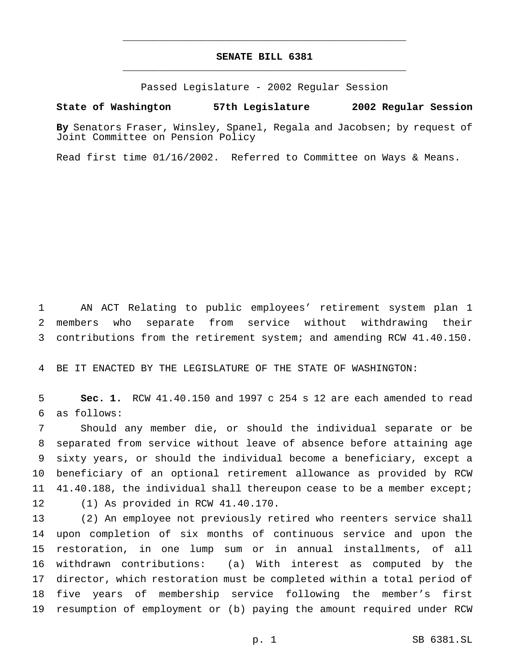# **SENATE BILL 6381** \_\_\_\_\_\_\_\_\_\_\_\_\_\_\_\_\_\_\_\_\_\_\_\_\_\_\_\_\_\_\_\_\_\_\_\_\_\_\_\_\_\_\_\_\_\_\_

\_\_\_\_\_\_\_\_\_\_\_\_\_\_\_\_\_\_\_\_\_\_\_\_\_\_\_\_\_\_\_\_\_\_\_\_\_\_\_\_\_\_\_\_\_\_\_

Passed Legislature - 2002 Regular Session

### **State of Washington 57th Legislature 2002 Regular Session**

**By** Senators Fraser, Winsley, Spanel, Regala and Jacobsen; by request of Joint Committee on Pension Policy

Read first time 01/16/2002. Referred to Committee on Ways & Means.

 AN ACT Relating to public employees' retirement system plan 1 members who separate from service without withdrawing their contributions from the retirement system; and amending RCW 41.40.150.

BE IT ENACTED BY THE LEGISLATURE OF THE STATE OF WASHINGTON:

 **Sec. 1.** RCW 41.40.150 and 1997 c 254 s 12 are each amended to read as follows:

 Should any member die, or should the individual separate or be separated from service without leave of absence before attaining age sixty years, or should the individual become a beneficiary, except a beneficiary of an optional retirement allowance as provided by RCW 41.40.188, the individual shall thereupon cease to be a member except; (1) As provided in RCW 41.40.170.

 (2) An employee not previously retired who reenters service shall upon completion of six months of continuous service and upon the restoration, in one lump sum or in annual installments, of all withdrawn contributions: (a) With interest as computed by the director, which restoration must be completed within a total period of five years of membership service following the member's first resumption of employment or (b) paying the amount required under RCW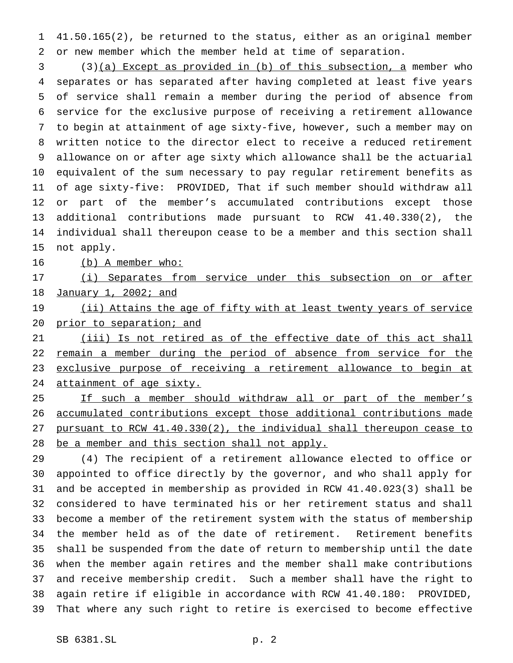41.50.165(2), be returned to the status, either as an original member or new member which the member held at time of separation.

 (3)(a) Except as provided in (b) of this subsection, a member who separates or has separated after having completed at least five years of service shall remain a member during the period of absence from service for the exclusive purpose of receiving a retirement allowance to begin at attainment of age sixty-five, however, such a member may on written notice to the director elect to receive a reduced retirement allowance on or after age sixty which allowance shall be the actuarial equivalent of the sum necessary to pay regular retirement benefits as of age sixty-five: PROVIDED, That if such member should withdraw all or part of the member's accumulated contributions except those additional contributions made pursuant to RCW 41.40.330(2), the individual shall thereupon cease to be a member and this section shall not apply.

16 (b) A member who:

17 (i) Separates from service under this subsection on or after January 1, 2002; and

19 (ii) Attains the age of fifty with at least twenty years of service prior to separation; and

21 (iii) Is not retired as of the effective date of this act shall 22 remain a member during the period of absence from service for the exclusive purpose of receiving a retirement allowance to begin at 24 attainment of age sixty.

25 If such a member should withdraw all or part of the member's accumulated contributions except those additional contributions made pursuant to RCW 41.40.330(2), the individual shall thereupon cease to be a member and this section shall not apply.

 (4) The recipient of a retirement allowance elected to office or appointed to office directly by the governor, and who shall apply for and be accepted in membership as provided in RCW 41.40.023(3) shall be considered to have terminated his or her retirement status and shall become a member of the retirement system with the status of membership the member held as of the date of retirement. Retirement benefits shall be suspended from the date of return to membership until the date when the member again retires and the member shall make contributions and receive membership credit. Such a member shall have the right to again retire if eligible in accordance with RCW 41.40.180: PROVIDED, That where any such right to retire is exercised to become effective